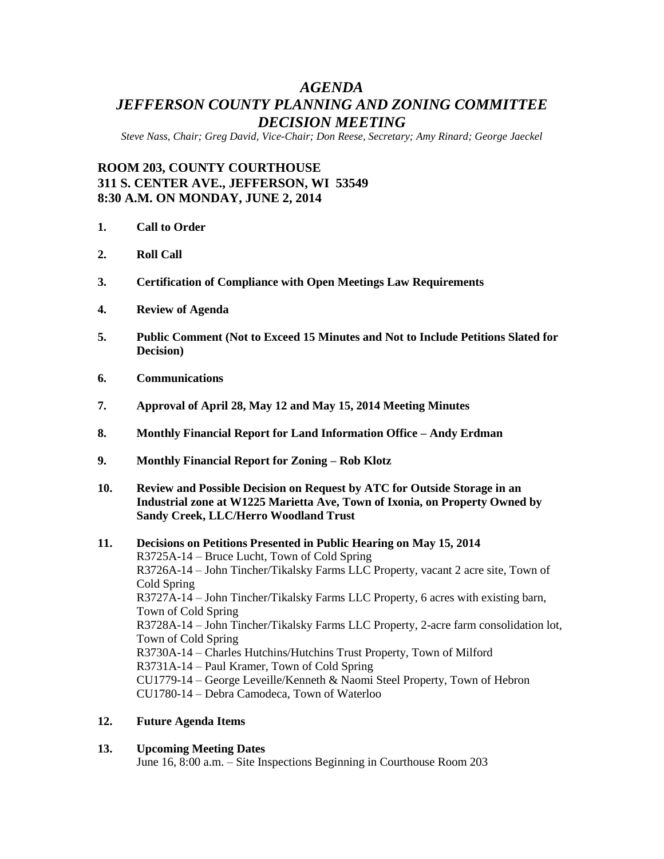# *AGENDA JEFFERSON COUNTY PLANNING AND ZONING COMMITTEE DECISION MEETING*

*Steve Nass, Chair; Greg David, Vice-Chair; Don Reese, Secretary; Amy Rinard; George Jaeckel*

# **ROOM 203, COUNTY COURTHOUSE 311 S. CENTER AVE., JEFFERSON, WI 53549 8:30 A.M. ON MONDAY, JUNE 2, 2014**

- **1. Call to Order**
- **2. Roll Call**
- **3. Certification of Compliance with Open Meetings Law Requirements**
- **4. Review of Agenda**
- **5. Public Comment (Not to Exceed 15 Minutes and Not to Include Petitions Slated for Decision)**
- **6. Communications**
- **7. Approval of April 28, May 12 and May 15, 2014 Meeting Minutes**
- **8. Monthly Financial Report for Land Information Office – Andy Erdman**
- **9. Monthly Financial Report for Zoning – Rob Klotz**
- **10. Review and Possible Decision on Request by ATC for Outside Storage in an Industrial zone at W1225 Marietta Ave, Town of Ixonia, on Property Owned by Sandy Creek, LLC/Herro Woodland Trust**

## **11. Decisions on Petitions Presented in Public Hearing on May 15, 2014** R3725A-14 – Bruce Lucht, Town of Cold Spring R3726A-14 – John Tincher/Tikalsky Farms LLC Property, vacant 2 acre site, Town of Cold Spring R3727A-14 – John Tincher/Tikalsky Farms LLC Property, 6 acres with existing barn, Town of Cold Spring R3728A-14 – John Tincher/Tikalsky Farms LLC Property, 2-acre farm consolidation lot, Town of Cold Spring R3730A-14 – Charles Hutchins/Hutchins Trust Property, Town of Milford R3731A-14 – Paul Kramer, Town of Cold Spring CU1779-14 – George Leveille/Kenneth & Naomi Steel Property, Town of Hebron CU1780-14 – Debra Camodeca, Town of Waterloo

**12. Future Agenda Items**

### **13. Upcoming Meeting Dates** June 16, 8:00 a.m. – Site Inspections Beginning in Courthouse Room 203